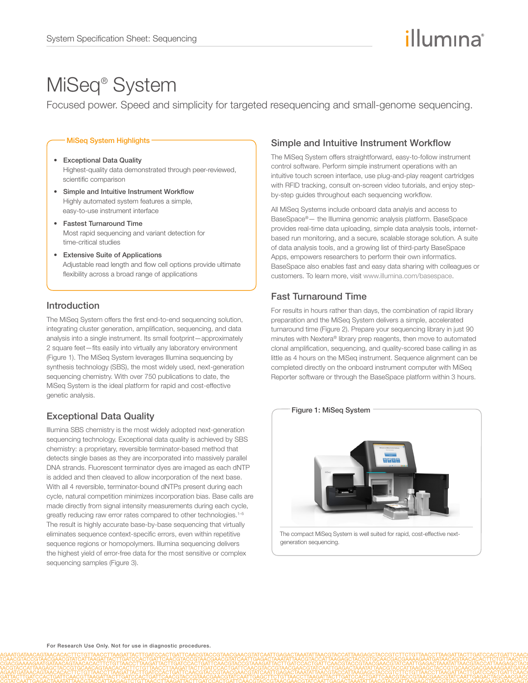# illumına

## MiSeq® System

Focused power. Speed and simplicity for targeted resequencing and small-genome sequencing.

#### MiSeq System Highlights -

- Exceptional Data Quality Highest-quality data demonstrated through peer-reviewed, scientific comparison
- Simple and Intuitive Instrument Workflow Highly automated system features a simple, easy-to-use instrument interface
- Fastest Turnaround Time Most rapid sequencing and variant detection for time-critical studies
- Extensive Suite of Applications Adjustable read length and flow cell options provide ultimate flexibility across a broad range of applications

## Introduction

The MiSeq System offers the first end-to-end sequencing solution, integrating cluster generation, amplification, sequencing, and data analysis into a single instrument. Its small footprint—approximately 2 square feet—fits easily into virtually any laboratory environment (Figure 1). The MiSeq System leverages Illumina sequencing by synthesis technology (SBS), the most widely used, next-generation sequencing chemistry. With over 750 publications to date, the MiSeq System is the ideal platform for rapid and cost-effective genetic analysis.

## Exceptional Data Quality

Illumina SBS chemistry is the most widely adopted next-generation sequencing technology. Exceptional data quality is achieved by SBS chemistry: a proprietary, reversible terminator-based method that detects single bases as they are incorporated into massively parallel DNA strands. Fluorescent terminator dyes are imaged as each dNTP is added and then cleaved to allow incorporation of the next base. With all 4 reversible, terminator-bound dNTPs present during each cycle, natural competition minimizes incorporation bias. Base calls are made directly from signal intensity measurements during each cycle, greatly reducing raw error rates compared to other technologies.<sup>1-5</sup> The result is highly accurate base-by-base sequencing that virtually eliminates sequence context-specific errors, even within repetitive sequence regions or homopolymers. Illumina sequencing delivers the highest yield of error-free data for the most sensitive or complex sequencing samples (Figure 3).

## Simple and Intuitive Instrument Workflow

The MiSeq System offers straightforward, easy-to-follow instrument control software. Perform simple instrument operations with an intuitive touch screen interface, use plug-and-play reagent cartridges with RFID tracking, consult on-screen video tutorials, and enjoy stepby-step guides throughout each sequencing workflow.

All MiSeq Systems include onboard data analyis and access to BaseSpace®— the Illumina genomic analysis platform. BaseSpace provides real-time data uploading, simple data analysis tools, internetbased run monitoring, and a secure, scalable storage solution. A suite of data analysis tools, and a growing list of third-party BaseSpace Apps, empowers researchers to perform their own informatics. BaseSpace also enables fast and easy data sharing with colleagues or customers. To learn more, visit www[.illumina.com/basespace.](http://www.illumina.com/basespace) 

## Fast Turnaround Time

For results in hours rather than days, the combination of rapid library preparation and the MiSeq System delivers a simple, accelerated turnaround time (Figure 2). Prepare your sequencing library in just 90 minutes with Nextera® library prep reagents, then move to automated clonal amplification, sequencing, and quality-scored base calling in as little as 4 hours on the MiSeq instrument. Sequence alignment can be completed directly on the onboard instrument computer with MiSeq Reporter software or through the BaseSpace platform within 3 hours.



The compact MiSeq System is well suited for rapid, cost-effective nextgeneration sequencing.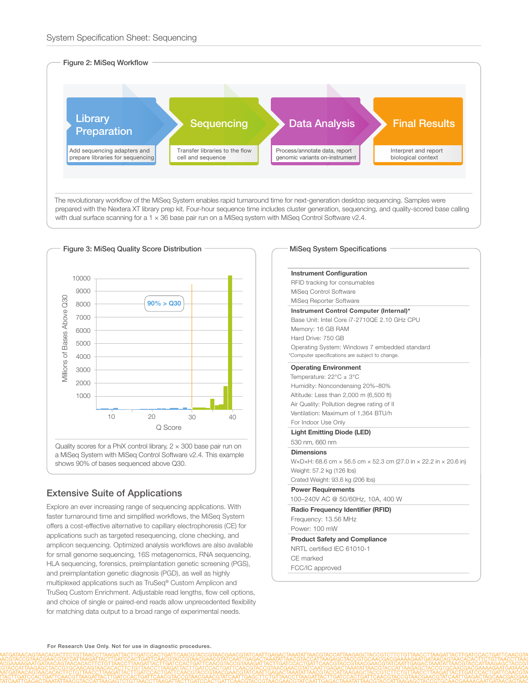



a MiSeq System with MiSeq Control Software v2.4. This example shows 90% of bases sequenced above Q30.

## Extensive Suite of Applications

Explore an ever increasing range of sequencing applications. With faster turnaround time and simplified workflows, the MiSeq System offers a cost-effective alternative to capillary electrophoresis (CE) for applications such as targeted resequencing, clone checking, and amplicon sequencing. Optimized analysis workflows are also available for small genome sequencing, 16S metagenomics, RNA sequencing, HLA sequencing, forensics, preimplantation genetic screening (PGS), and preimplantation genetic diagnosis (PGD), as well as highly multiplexed applications such as TruSeq® Custom Amplicon and TruSeq Custom Enrichment. Adjustable read lengths, flow cell options, and choice of single or paired-end reads allow unprecedented flexibility for matching data output to a broad range of experimental needs.

#### MiSeq System Specifications

| <b>Instrument Configuration</b>                                  |  |  |  |  |  |
|------------------------------------------------------------------|--|--|--|--|--|
| RFID tracking for consumables                                    |  |  |  |  |  |
| MiSeq Control Software                                           |  |  |  |  |  |
| MiSeg Reporter Software                                          |  |  |  |  |  |
| Instrument Control Computer (Internal)*                          |  |  |  |  |  |
| Base Unit: Intel Core i7-27100E 2.10 GHz CPU                     |  |  |  |  |  |
| Memory: 16 GB RAM                                                |  |  |  |  |  |
| Hard Drive: 750 GB                                               |  |  |  |  |  |
| Operating System: Windows 7 embedded standard                    |  |  |  |  |  |
| *Computer specifications are subject to change.                  |  |  |  |  |  |
| <b>Operating Environment</b>                                     |  |  |  |  |  |
| Temperature: $22^{\circ}C \pm 3^{\circ}C$                        |  |  |  |  |  |
| Humidity: Noncondensing 20%-80%                                  |  |  |  |  |  |
| Altitude: Less than 2,000 m (6,500 ft)                           |  |  |  |  |  |
| Air Quality: Pollution degree rating of II                       |  |  |  |  |  |
| Ventilation: Maximum of 1,364 BTU/h                              |  |  |  |  |  |
| For Indoor Use Only                                              |  |  |  |  |  |
| <b>Light Emitting Diode (LED)</b>                                |  |  |  |  |  |
| 530 nm. 660 nm                                                   |  |  |  |  |  |
| <b>Dimensions</b>                                                |  |  |  |  |  |
| W×D×H: 68.6 cm × 56.5 cm × 52.3 cm (27.0 in × 22.2 in × 20.6 in) |  |  |  |  |  |
| Weight: 57.2 kg (126 lbs)                                        |  |  |  |  |  |
| Crated Weight: 93.6 kg (206 lbs)                                 |  |  |  |  |  |
| <b>Power Requirements</b>                                        |  |  |  |  |  |
| 100-240V AC @ 50/60Hz, 10A, 400 W                                |  |  |  |  |  |
| Radio Frequency Identifier (RFID)                                |  |  |  |  |  |
| Frequency: 13.56 MHz                                             |  |  |  |  |  |
| Power: 100 mW                                                    |  |  |  |  |  |
| <b>Product Safety and Compliance</b>                             |  |  |  |  |  |
| NRTL certified IEC 61010-1                                       |  |  |  |  |  |
| CF marked                                                        |  |  |  |  |  |
| FCC/IC approved                                                  |  |  |  |  |  |
|                                                                  |  |  |  |  |  |
|                                                                  |  |  |  |  |  |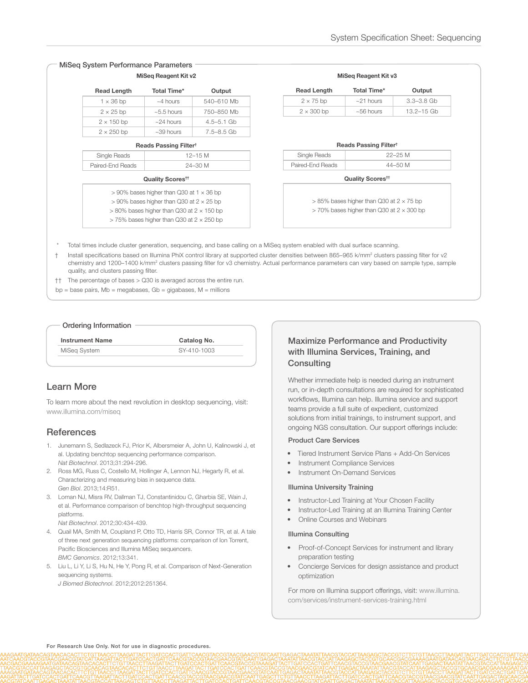| MiSeg System Performance Parameters<br>MiSeg Reagent Kit v2 |                                                                                                                                                                |                |                |  |  |
|-------------------------------------------------------------|----------------------------------------------------------------------------------------------------------------------------------------------------------------|----------------|----------------|--|--|
|                                                             | <b>Read Length</b>                                                                                                                                             | Total Time*    | Output         |  |  |
|                                                             | $1 \times 36$ bp                                                                                                                                               | $~1$ hours     | 540-610 Mb     |  |  |
|                                                             | $2 \times 25$ bp                                                                                                                                               | $~5.5$ hours   | 750-850 Mb     |  |  |
|                                                             | $2 \times 150$ bp                                                                                                                                              | $~24$ hours    | $4.5 - 5.1$ Gb |  |  |
|                                                             | $2 \times 250$ bp                                                                                                                                              | $~10-39$ hours | 7.5-8.5 Gb     |  |  |
| Reads Passing Filter <sup>†</sup>                           |                                                                                                                                                                |                |                |  |  |
|                                                             | Single Reads                                                                                                                                                   |                | $12 - 15$ M    |  |  |
|                                                             | Paired-End Reads                                                                                                                                               |                | 24-30 M        |  |  |
|                                                             | Quality Scores <sup>tt</sup>                                                                                                                                   |                |                |  |  |
|                                                             | $> 90\%$ bases higher than Q30 at 1 $\times$ 36 bp<br>$> 90\%$ bases higher than Q30 at 2 $\times$ 25 bp<br>$>80\%$ bases higher than Q30 at 2 $\times$ 150 bp |                |                |  |  |
|                                                             | $>$ 75% bases higher than Q30 at 2 $\times$ 250 bp                                                                                                             |                |                |  |  |

| <b>Read Length</b> | Total Time*                       | Output         |
|--------------------|-----------------------------------|----------------|
| $2 \times 75$ bp   | $~21$ hours                       | $3.3 - 3.8$ Gb |
| $2 \times 300$ bp  | $~56$ hours                       | 13.2-15 Gb     |
|                    | Reads Passing Filter <sup>t</sup> | $22 - 25M$     |
| Single Reads       |                                   | 44-50 M        |
| Paired-End Reads   | Quality Scores <sup>tt</sup>      |                |

- \* Total times include cluster generation, sequencing, and base calling on a MiSeq system enabled with dual surface scanning.
- † Install specifications based on Illumina PhiX control library at supported cluster densities between 865–965 k/mm2 clusters passing filter for v2 chemistry and 1200–1400 k/mm<sup>2</sup> clusters passing filter for v3 chemistry. Actual performance parameters can vary based on sample type, sample quality, and clusters passing filter.
- †† The percentage of bases > Q30 is averaged across the entire run.
- bp = base pairs, Mb = megabases, Gb = gigabases, M = millions

#### Ordering Information

| <b>Instrument Name</b> | Catalog No. |  |
|------------------------|-------------|--|
| MiSeg System           | SY-410-1003 |  |
|                        |             |  |

## Learn More

To learn more about the next revolution in desktop sequencing, visit: [www.illumina.com/miseq](http://www.illumina.com/miseq)

## **References**

- 1. [Junemann S, Sedlazeck FJ, Prior K, Albersmeier A, John U, Kalinowski J, et](http://www.ncbi.nlm.nih.gov/pubmed/23563421)  [al. Updating benchtop sequencing performance comparison.](http://www.ncbi.nlm.nih.gov/pubmed/23563421)  *Nat Biotechnol*[. 2013;31:294-296.](http://www.ncbi.nlm.nih.gov/pubmed/23563421)
- 2. [Ross MG, Russ C, Costello M, Hollinger A, Lennon NJ, Hegarty R, et al.](http://www.ncbi.nlm.nih.gov/pubmed/23718773)  [Characterizing and measuring bias in sequence data.](http://www.ncbi.nlm.nih.gov/pubmed/23718773)  *Gen Biol*[. 2013;14:R51.](http://www.ncbi.nlm.nih.gov/pubmed/23718773)
- 3. [Loman NJ, Misra RV, Dallman TJ, Constantinidou C, Gharbia SE, Wain J,](http://www.ncbi.nlm.nih.gov/pubmed/22522955)  [et al. Performance comparison of benchtop high-throughput sequencing](http://www.ncbi.nlm.nih.gov/pubmed/22522955)  [platforms.](http://www.ncbi.nlm.nih.gov/pubmed/22522955) 
	- *Nat Biotechnol*[. 2012;30:434-439.](http://www.ncbi.nlm.nih.gov/pubmed/22522955)
- 4. [Quail MA, Smith M, Coupland P, Otto TD, Harris SR, Connor TR, et al. A tale](http://www.ncbi.nlm.nih.gov/pubmed/22827831)  [of three next generation sequencing platforms: comparison of Ion Torrent,](http://www.ncbi.nlm.nih.gov/pubmed/22827831)  [Pacific Biosciences and Illumina MiSeq sequencers.](http://www.ncbi.nlm.nih.gov/pubmed/22827831)  *[BMC Genomics](http://www.ncbi.nlm.nih.gov/pubmed/22827831)*. 2012;13:341.
- 5. [Liu L, Li Y, Li S, Hu N, He Y, Pong R, et al. Comparison of Next-Generation](http://www.ncbi.nlm.nih.gov/pubmed/22829749)  [sequencing systems.](http://www.ncbi.nlm.nih.gov/pubmed/22829749)  *J Biomed Biotechnol*[. 2012;2012:251364.](http://www.ncbi.nlm.nih.gov/pubmed/22829749)

## Maximize Performance and Productivity with Illumina Services, Training, and **Consulting**

Whether immediate help is needed during an instrument run, or in-depth consultations are required for sophisticated workflows, Illumina can help. Illumina service and support teams provide a full suite of expedient, customized solutions from initial trainings, to instrument support, and ongoing NGS consultation. Our support offerings include:

#### Product Care Services

- Tiered Instrument Service Plans + Add-On Services
- **Instrument Compliance Services**
- Instrument On-Demand Services

#### Illumina University Training

- Instructor-Led Training at Your Chosen Facility
- Instructor-Led Training at an Illumina Training Center
- Online Courses and Webinars

#### Illumina Consulting

- Proof-of-Concept Services for instrument and library preparation testing
- Concierge Services for design assistance and product optimization

For more on Illumina support offerings[, visit: www.illumina.](http://www.illumina.com/services/instrument-services-training.html) [com/services/instrument-services-training.html](http://www.illumina.com/services/instrument-services-training.html)